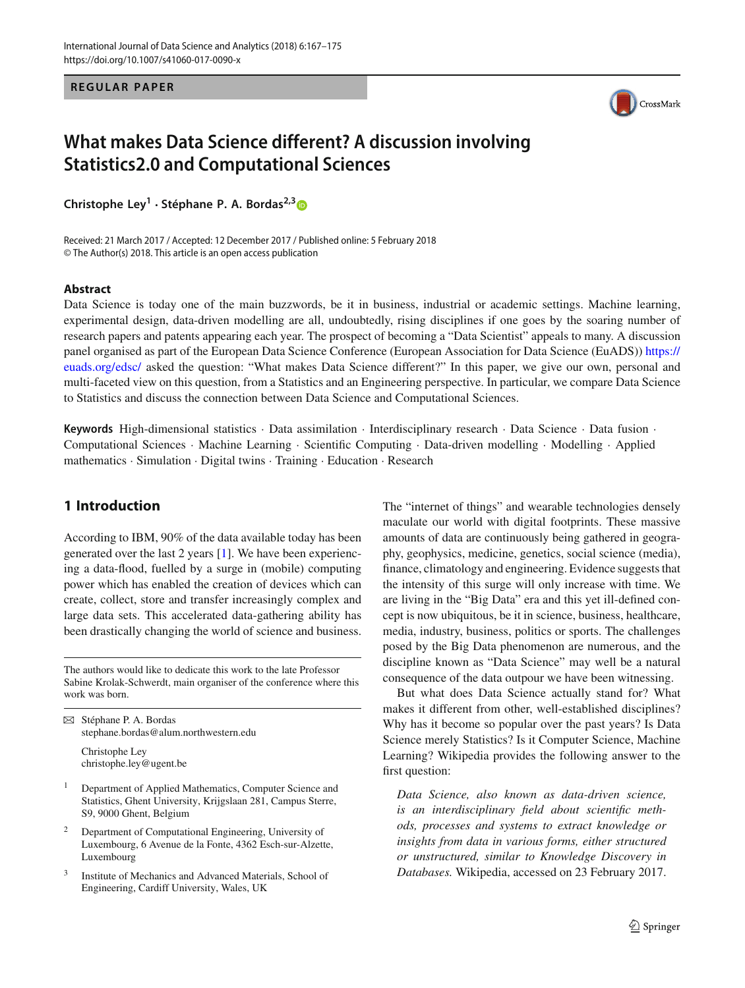**REGULAR PAPER**



# **What makes Data Science different? A discussion involving Statistics2.0 and Computational Sciences**

**Christophe Ley<sup>1</sup> · Stéphane P. A. Bordas2,[3](http://orcid.org/0000-0001-7622-2193)**

Received: 21 March 2017 / Accepted: 12 December 2017 / Published online: 5 February 2018 © The Author(s) 2018. This article is an open access publication

#### **Abstract**

Data Science is today one of the main buzzwords, be it in business, industrial or academic settings. Machine learning, experimental design, data-driven modelling are all, undoubtedly, rising disciplines if one goes by the soaring number of research papers and patents appearing each year. The prospect of becoming a "Data Scientist" appeals to many. A discussion panel organised as part of the European Data Science Conference (European Association for Data Science (EuADS)) [https://](https://euads.org/edsc/) [euads.org/edsc/](https://euads.org/edsc/) asked the question: "What makes Data Science different?" In this paper, we give our own, personal and multi-faceted view on this question, from a Statistics and an Engineering perspective. In particular, we compare Data Science to Statistics and discuss the connection between Data Science and Computational Sciences.

**Keywords** High-dimensional statistics · Data assimilation · Interdisciplinary research · Data Science · Data fusion · Computational Sciences · Machine Learning · Scientific Computing · Data-driven modelling · Modelling · Applied mathematics · Simulation · Digital twins · Training · Education · Research

## **1 Introduction**

According to IBM, 90% of the data available today has been generated over the last 2 years [\[1\]](#page-6-0). We have been experiencing a data-flood, fuelled by a surge in (mobile) computing power which has enabled the creation of devices which can create, collect, store and transfer increasingly complex and large data sets. This accelerated data-gathering ability has been drastically changing the world of science and business.

The authors would like to dedicate this work to the late Professor Sabine Krolak-Schwerdt, main organiser of the conference where this work was born.

B Stéphane P. A. Bordas stephane.bordas@alum.northwestern.edu

Christophe Ley christophe.ley@ugent.be

- <sup>1</sup> Department of Applied Mathematics, Computer Science and Statistics, Ghent University, Krijgslaan 281, Campus Sterre, S9, 9000 Ghent, Belgium
- <sup>2</sup> Department of Computational Engineering, University of Luxembourg, 6 Avenue de la Fonte, 4362 Esch-sur-Alzette, Luxembourg
- <sup>3</sup> Institute of Mechanics and Advanced Materials, School of Engineering, Cardiff University, Wales, UK

The "internet of things" and wearable technologies densely maculate our world with digital footprints. These massive amounts of data are continuously being gathered in geography, geophysics, medicine, genetics, social science (media), finance, climatology and engineering. Evidence suggests that the intensity of this surge will only increase with time. We are living in the "Big Data" era and this yet ill-defined concept is now ubiquitous, be it in science, business, healthcare, media, industry, business, politics or sports. The challenges posed by the Big Data phenomenon are numerous, and the discipline known as "Data Science" may well be a natural consequence of the data outpour we have been witnessing.

But what does Data Science actually stand for? What makes it different from other, well-established disciplines? Why has it become so popular over the past years? Is Data Science merely Statistics? Is it Computer Science, Machine Learning? Wikipedia provides the following answer to the first question:

*Data Science, also known as data-driven science, is an interdisciplinary field about scientific methods, processes and systems to extract knowledge or insights from data in various forms, either structured or unstructured, similar to Knowledge Discovery in Databases.* Wikipedia, accessed on 23 February 2017.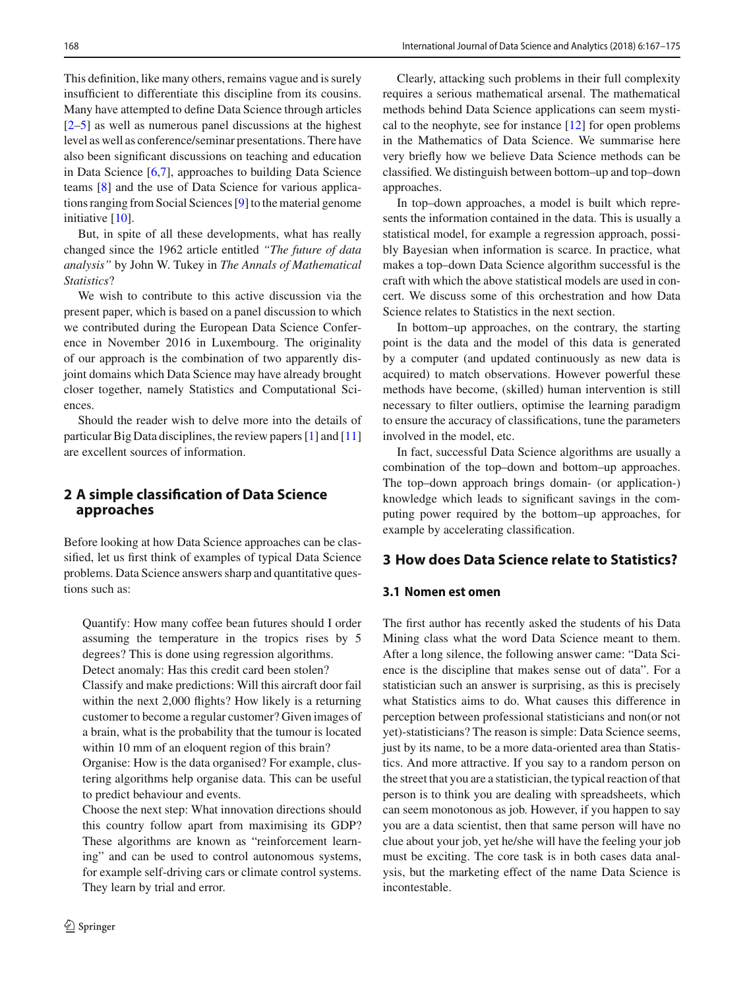This definition, like many others, remains vague and is surely insufficient to differentiate this discipline from its cousins. Many have attempted to define Data Science through articles [\[2](#page-6-1)[–5](#page-6-2)] as well as numerous panel discussions at the highest level as well as conference/seminar presentations. There have also been significant discussions on teaching and education in Data Science [\[6](#page-6-3)[,7](#page-6-4)], approaches to building Data Science teams [\[8\]](#page-6-5) and the use of Data Science for various applications ranging from Social Sciences [\[9\]](#page-6-6) to the material genome initiative [\[10\]](#page-6-7).

But, in spite of all these developments, what has really changed since the 1962 article entitled *"The future of data analysis"* by John W. Tukey in *The Annals of Mathematical Statistics*?

We wish to contribute to this active discussion via the present paper, which is based on a panel discussion to which we contributed during the European Data Science Conference in November 2016 in Luxembourg. The originality of our approach is the combination of two apparently disjoint domains which Data Science may have already brought closer together, namely Statistics and Computational Sciences.

Should the reader wish to delve more into the details of particular Big Data disciplines, the review papers [\[1\]](#page-6-0) and [\[11\]](#page-6-8) are excellent sources of information.

# **2 A simple classification of Data Science approaches**

Before looking at how Data Science approaches can be classified, let us first think of examples of typical Data Science problems. Data Science answers sharp and quantitative questions such as:

Quantify: How many coffee bean futures should I order assuming the temperature in the tropics rises by 5 degrees? This is done using regression algorithms. Detect anomaly: Has this credit card been stolen? Classify and make predictions: Will this aircraft door fail within the next 2,000 flights? How likely is a returning customer to become a regular customer? Given images of a brain, what is the probability that the tumour is located within 10 mm of an eloquent region of this brain? Organise: How is the data organised? For example, clustering algorithms help organise data. This can be useful to predict behaviour and events.

Choose the next step: What innovation directions should this country follow apart from maximising its GDP? These algorithms are known as "reinforcement learning" and can be used to control autonomous systems, for example self-driving cars or climate control systems. They learn by trial and error.

Clearly, attacking such problems in their full complexity requires a serious mathematical arsenal. The mathematical methods behind Data Science applications can seem mystical to the neophyte, see for instance [\[12](#page-6-9)] for open problems in the Mathematics of Data Science. We summarise here very briefly how we believe Data Science methods can be classified. We distinguish between bottom–up and top–down approaches.

In top–down approaches, a model is built which represents the information contained in the data. This is usually a statistical model, for example a regression approach, possibly Bayesian when information is scarce. In practice, what makes a top–down Data Science algorithm successful is the craft with which the above statistical models are used in concert. We discuss some of this orchestration and how Data Science relates to Statistics in the next section.

In bottom–up approaches, on the contrary, the starting point is the data and the model of this data is generated by a computer (and updated continuously as new data is acquired) to match observations. However powerful these methods have become, (skilled) human intervention is still necessary to filter outliers, optimise the learning paradigm to ensure the accuracy of classifications, tune the parameters involved in the model, etc.

In fact, successful Data Science algorithms are usually a combination of the top–down and bottom–up approaches. The top–down approach brings domain- (or application-) knowledge which leads to significant savings in the computing power required by the bottom–up approaches, for example by accelerating classification.

# **3 How does Data Science relate to Statistics?**

## **3.1 Nomen est omen**

The first author has recently asked the students of his Data Mining class what the word Data Science meant to them. After a long silence, the following answer came: "Data Science is the discipline that makes sense out of data". For a statistician such an answer is surprising, as this is precisely what Statistics aims to do. What causes this difference in perception between professional statisticians and non(or not yet)-statisticians? The reason is simple: Data Science seems, just by its name, to be a more data-oriented area than Statistics. And more attractive. If you say to a random person on the street that you are a statistician, the typical reaction of that person is to think you are dealing with spreadsheets, which can seem monotonous as job. However, if you happen to say you are a data scientist, then that same person will have no clue about your job, yet he/she will have the feeling your job must be exciting. The core task is in both cases data analysis, but the marketing effect of the name Data Science is incontestable.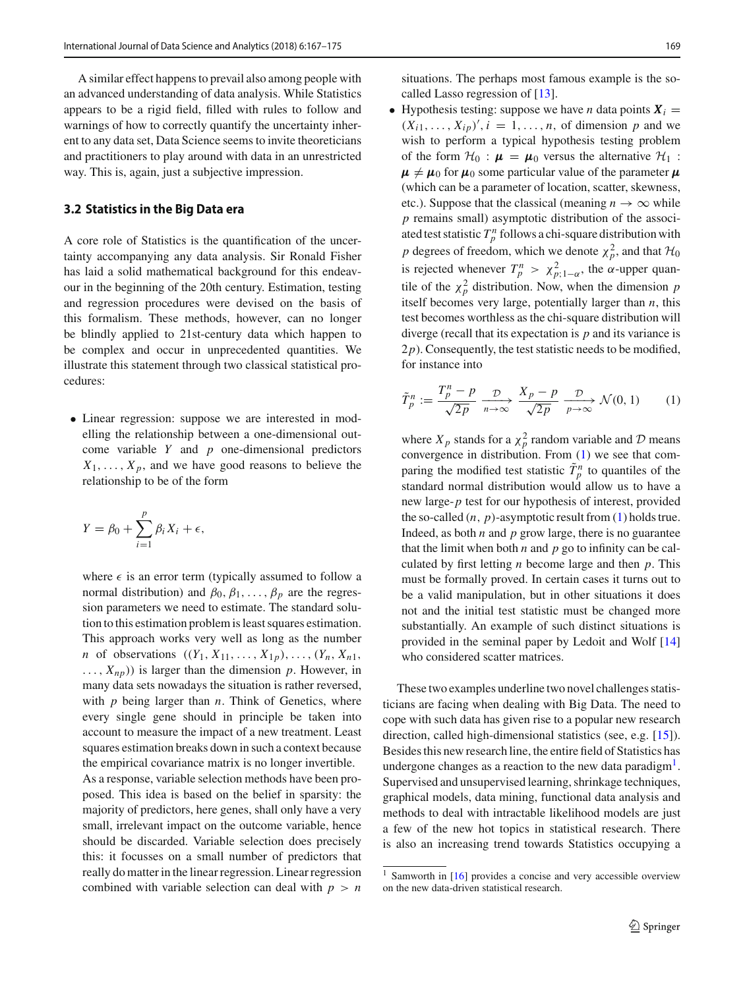A similar effect happens to prevail also among people with an advanced understanding of data analysis. While Statistics appears to be a rigid field, filled with rules to follow and warnings of how to correctly quantify the uncertainty inherent to any data set, Data Science seems to invite theoreticians and practitioners to play around with data in an unrestricted way. This is, again, just a subjective impression.

#### **3.2 Statistics in the Big Data era**

A core role of Statistics is the quantification of the uncertainty accompanying any data analysis. Sir Ronald Fisher has laid a solid mathematical background for this endeavour in the beginning of the 20th century. Estimation, testing and regression procedures were devised on the basis of this formalism. These methods, however, can no longer be blindly applied to 21st-century data which happen to be complex and occur in unprecedented quantities. We illustrate this statement through two classical statistical procedures:

• Linear regression: suppose we are interested in modelling the relationship between a one-dimensional outcome variable *Y* and *p* one-dimensional predictors  $X_1, \ldots, X_p$ , and we have good reasons to believe the relationship to be of the form

$$
Y = \beta_0 + \sum_{i=1}^p \beta_i X_i + \epsilon,
$$

where  $\epsilon$  is an error term (typically assumed to follow a normal distribution) and  $\beta_0, \beta_1, \ldots, \beta_p$  are the regression parameters we need to estimate. The standard solution to this estimation problem is least squares estimation. This approach works very well as long as the number *n* of observations  $((Y_1, X_{11},..., X_{1p}),..., (Y_n, X_{n1},$  $\ldots$ ,  $X_{np}$ ) is larger than the dimension *p*. However, in many data sets nowadays the situation is rather reversed, with *p* being larger than *n*. Think of Genetics, where every single gene should in principle be taken into account to measure the impact of a new treatment. Least squares estimation breaks down in such a context because the empirical covariance matrix is no longer invertible. As a response, variable selection methods have been proposed. This idea is based on the belief in sparsity: the majority of predictors, here genes, shall only have a very small, irrelevant impact on the outcome variable, hence

should be discarded. Variable selection does precisely this: it focusses on a small number of predictors that really do matter in the linear regression. Linear regression combined with variable selection can deal with  $p > n$  situations. The perhaps most famous example is the socalled Lasso regression of [\[13](#page-6-10)].

• Hypothesis testing: suppose we have *n* data points  $X_i =$  $(X_{i1}, \ldots, X_{ip})'$ ,  $i = 1, \ldots, n$ , of dimension *p* and we wish to perform a typical hypothesis testing problem of the form  $\mathcal{H}_0$ :  $\mu = \mu_0$  versus the alternative  $\mathcal{H}_1$ :  $\mu \neq \mu_0$  for  $\mu_0$  some particular value of the parameter  $\mu$ (which can be a parameter of location, scatter, skewness, etc.). Suppose that the classical (meaning  $n \to \infty$  while *p* remains small) asymptotic distribution of the associated test statistic  $T_p^n$  follows a chi-square distribution with *p* degrees of freedom, which we denote  $\chi_p^2$ , and that  $\mathcal{H}_0$ is rejected whenever  $T_p^n > \chi_{p;1-\alpha}^2$ , the  $\alpha$ -upper quantile of the  $\chi_p^2$  distribution. Now, when the dimension *p* itself becomes very large, potentially larger than *n*, this test becomes worthless as the chi-square distribution will diverge (recall that its expectation is *p* and its variance is 2*p*). Consequently, the test statistic needs to be modified, for instance into

<span id="page-2-0"></span>
$$
\tilde{T}_p^n := \frac{T_p^n - p}{\sqrt{2p}} \xrightarrow[n \to \infty]{} \frac{X_p - p}{\sqrt{2p}} \xrightarrow[p \to \infty]{} \mathcal{N}(0, 1) \tag{1}
$$

where  $X_p$  stands for a  $\chi_p^2$  random variable and  $D$  means convergence in distribution. From [\(1\)](#page-2-0) we see that comparing the modified test statistic  $\tilde{T}_p^n$  to quantiles of the standard normal distribution would allow us to have a new large-*p* test for our hypothesis of interest, provided the so-called  $(n, p)$ -asymptotic result from  $(1)$  holds true. Indeed, as both *n* and *p* grow large, there is no guarantee that the limit when both  $n$  and  $p$  go to infinity can be calculated by first letting *n* become large and then *p*. This must be formally proved. In certain cases it turns out to be a valid manipulation, but in other situations it does not and the initial test statistic must be changed more substantially. An example of such distinct situations is provided in the seminal paper by Ledoit and Wolf [\[14\]](#page-6-11) who considered scatter matrices.

These two examples underline two novel challenges statisticians are facing when dealing with Big Data. The need to cope with such data has given rise to a popular new research direction, called high-dimensional statistics (see, e.g. [\[15](#page-6-12)]). Besides this new research line, the entire field of Statistics has undergone changes as a reaction to the new data paradigm<sup>1</sup>. Supervised and unsupervised learning, shrinkage techniques, graphical models, data mining, functional data analysis and methods to deal with intractable likelihood models are just a few of the new hot topics in statistical research. There is also an increasing trend towards Statistics occupying a

<span id="page-2-1"></span><sup>&</sup>lt;sup>1</sup> Samworth in  $[16]$  $[16]$  provides a concise and very accessible overview on the new data-driven statistical research.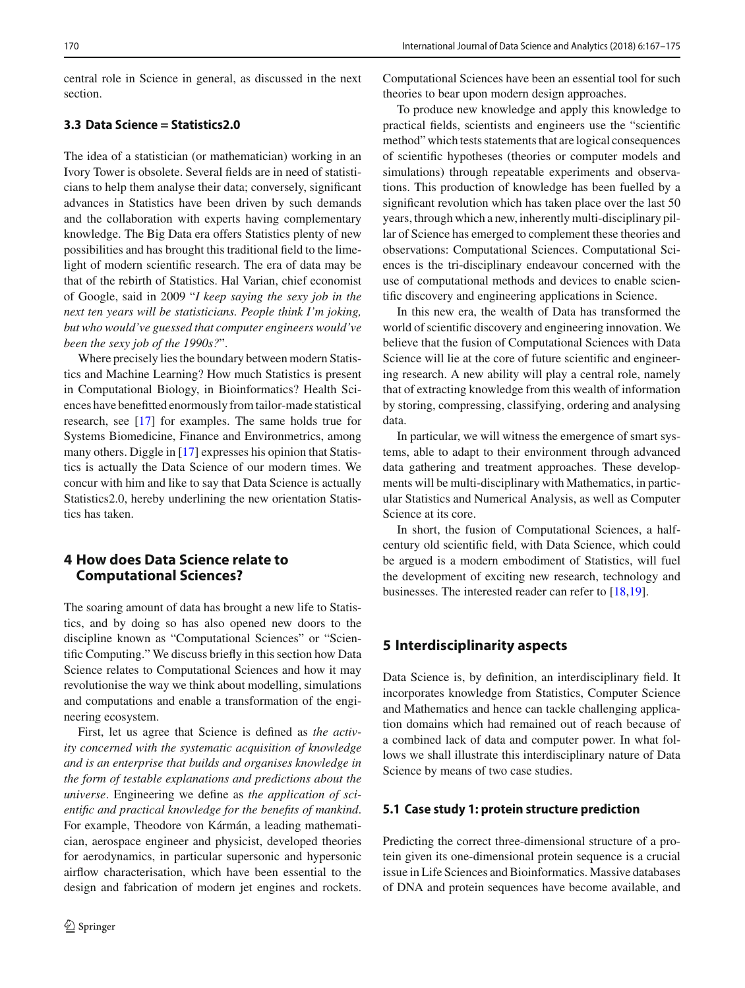central role in Science in general, as discussed in the next section.

## **3.3 Data Science = Statistics2.0**

The idea of a statistician (or mathematician) working in an Ivory Tower is obsolete. Several fields are in need of statisticians to help them analyse their data; conversely, significant advances in Statistics have been driven by such demands and the collaboration with experts having complementary knowledge. The Big Data era offers Statistics plenty of new possibilities and has brought this traditional field to the limelight of modern scientific research. The era of data may be that of the rebirth of Statistics. Hal Varian, chief economist of Google, said in 2009 "*I keep saying the sexy job in the next ten years will be statisticians. People think I'm joking, but who would've guessed that computer engineers would've been the sexy job of the 1990s?*".

Where precisely lies the boundary between modern Statistics and Machine Learning? How much Statistics is present in Computational Biology, in Bioinformatics? Health Sciences have benefitted enormously from tailor-made statistical research, see [\[17\]](#page-6-14) for examples. The same holds true for Systems Biomedicine, Finance and Environmetrics, among many others. Diggle in [\[17\]](#page-6-14) expresses his opinion that Statistics is actually the Data Science of our modern times. We concur with him and like to say that Data Science is actually Statistics2.0, hereby underlining the new orientation Statistics has taken.

## **4 How does Data Science relate to Computational Sciences?**

The soaring amount of data has brought a new life to Statistics, and by doing so has also opened new doors to the discipline known as "Computational Sciences" or "Scientific Computing." We discuss briefly in this section how Data Science relates to Computational Sciences and how it may revolutionise the way we think about modelling, simulations and computations and enable a transformation of the engineering ecosystem.

First, let us agree that Science is defined as *the activity concerned with the systematic acquisition of knowledge and is an enterprise that builds and organises knowledge in the form of testable explanations and predictions about the universe*. Engineering we define as *the application of scientific and practical knowledge for the benefits of mankind*. For example, Theodore von Kármán, a leading mathematician, aerospace engineer and physicist, developed theories for aerodynamics, in particular supersonic and hypersonic airflow characterisation, which have been essential to the design and fabrication of modern jet engines and rockets. Computational Sciences have been an essential tool for such theories to bear upon modern design approaches.

To produce new knowledge and apply this knowledge to practical fields, scientists and engineers use the "scientific method" which tests statements that are logical consequences of scientific hypotheses (theories or computer models and simulations) through repeatable experiments and observations. This production of knowledge has been fuelled by a significant revolution which has taken place over the last 50 years, through which a new, inherently multi-disciplinary pillar of Science has emerged to complement these theories and observations: Computational Sciences. Computational Sciences is the tri-disciplinary endeavour concerned with the use of computational methods and devices to enable scientific discovery and engineering applications in Science.

In this new era, the wealth of Data has transformed the world of scientific discovery and engineering innovation. We believe that the fusion of Computational Sciences with Data Science will lie at the core of future scientific and engineering research. A new ability will play a central role, namely that of extracting knowledge from this wealth of information by storing, compressing, classifying, ordering and analysing data.

In particular, we will witness the emergence of smart systems, able to adapt to their environment through advanced data gathering and treatment approaches. These developments will be multi-disciplinary with Mathematics, in particular Statistics and Numerical Analysis, as well as Computer Science at its core.

In short, the fusion of Computational Sciences, a halfcentury old scientific field, with Data Science, which could be argued is a modern embodiment of Statistics, will fuel the development of exciting new research, technology and businesses. The interested reader can refer to [\[18](#page-6-15)[,19](#page-6-16)].

## **5 Interdisciplinarity aspects**

Data Science is, by definition, an interdisciplinary field. It incorporates knowledge from Statistics, Computer Science and Mathematics and hence can tackle challenging application domains which had remained out of reach because of a combined lack of data and computer power. In what follows we shall illustrate this interdisciplinary nature of Data Science by means of two case studies.

#### **5.1 Case study 1: protein structure prediction**

Predicting the correct three-dimensional structure of a protein given its one-dimensional protein sequence is a crucial issue in Life Sciences and Bioinformatics. Massive databases of DNA and protein sequences have become available, and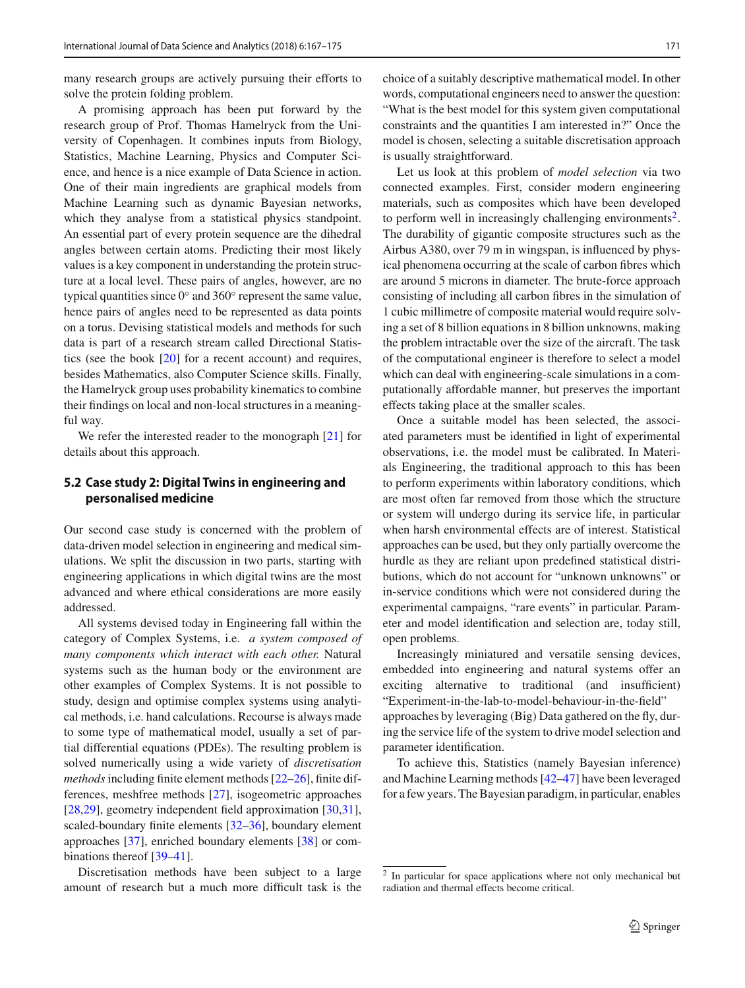many research groups are actively pursuing their efforts to solve the protein folding problem.

A promising approach has been put forward by the research group of Prof. Thomas Hamelryck from the University of Copenhagen. It combines inputs from Biology, Statistics, Machine Learning, Physics and Computer Science, and hence is a nice example of Data Science in action. One of their main ingredients are graphical models from Machine Learning such as dynamic Bayesian networks, which they analyse from a statistical physics standpoint. An essential part of every protein sequence are the dihedral angles between certain atoms. Predicting their most likely values is a key component in understanding the protein structure at a local level. These pairs of angles, however, are no typical quantities since  $0°$  and 360 $°$  represent the same value, hence pairs of angles need to be represented as data points on a torus. Devising statistical models and methods for such data is part of a research stream called Directional Statistics (see the book [\[20\]](#page-6-17) for a recent account) and requires, besides Mathematics, also Computer Science skills. Finally, the Hamelryck group uses probability kinematics to combine their findings on local and non-local structures in a meaningful way.

We refer the interested reader to the monograph [\[21](#page-6-18)] for details about this approach.

#### **5.2 Case study 2: Digital Twins in engineering and personalised medicine**

Our second case study is concerned with the problem of data-driven model selection in engineering and medical simulations. We split the discussion in two parts, starting with engineering applications in which digital twins are the most advanced and where ethical considerations are more easily addressed.

All systems devised today in Engineering fall within the category of Complex Systems, i.e. *a system composed of many components which interact with each other.* Natural systems such as the human body or the environment are other examples of Complex Systems. It is not possible to study, design and optimise complex systems using analytical methods, i.e. hand calculations. Recourse is always made to some type of mathematical model, usually a set of partial differential equations (PDEs). The resulting problem is solved numerically using a wide variety of *discretisation methods* including finite element methods [\[22](#page-6-19)[–26\]](#page-6-20), finite differences, meshfree methods [\[27](#page-7-0)], isogeometric approaches [\[28](#page-7-1)[,29\]](#page-7-2), geometry independent field approximation [\[30](#page-7-3)[,31](#page-7-4)], scaled-boundary finite elements [\[32](#page-7-5)[–36\]](#page-7-6), boundary element approaches [\[37](#page-7-7)], enriched boundary elements [\[38\]](#page-7-8) or combinations thereof [\[39](#page-7-9)[–41\]](#page-7-10).

Discretisation methods have been subject to a large amount of research but a much more difficult task is the choice of a suitably descriptive mathematical model. In other words, computational engineers need to answer the question: "What is the best model for this system given computational constraints and the quantities I am interested in?" Once the model is chosen, selecting a suitable discretisation approach is usually straightforward.

Let us look at this problem of *model selection* via two connected examples. First, consider modern engineering materials, such as composites which have been developed to perform well in increasingly challenging environments<sup>2</sup>. The durability of gigantic composite structures such as the Airbus A380, over 79 m in wingspan, is influenced by physical phenomena occurring at the scale of carbon fibres which are around 5 microns in diameter. The brute-force approach consisting of including all carbon fibres in the simulation of 1 cubic millimetre of composite material would require solving a set of 8 billion equations in 8 billion unknowns, making the problem intractable over the size of the aircraft. The task of the computational engineer is therefore to select a model which can deal with engineering-scale simulations in a computationally affordable manner, but preserves the important effects taking place at the smaller scales.

Once a suitable model has been selected, the associated parameters must be identified in light of experimental observations, i.e. the model must be calibrated. In Materials Engineering, the traditional approach to this has been to perform experiments within laboratory conditions, which are most often far removed from those which the structure or system will undergo during its service life, in particular when harsh environmental effects are of interest. Statistical approaches can be used, but they only partially overcome the hurdle as they are reliant upon predefined statistical distributions, which do not account for "unknown unknowns" or in-service conditions which were not considered during the experimental campaigns, "rare events" in particular. Parameter and model identification and selection are, today still, open problems.

Increasingly miniatured and versatile sensing devices, embedded into engineering and natural systems offer an exciting alternative to traditional (and insufficient) "Experiment-in-the-lab-to-model-behaviour-in-the-field" approaches by leveraging (Big) Data gathered on the fly, during the service life of the system to drive model selection and parameter identification.

To achieve this, Statistics (namely Bayesian inference) and Machine Learning methods [\[42](#page-7-11)[–47](#page-7-12)] have been leveraged for a few years. The Bayesian paradigm, in particular, enables

<span id="page-4-0"></span> $2 \text{ In particular for space applications where not only mechanical but}$ radiation and thermal effects become critical.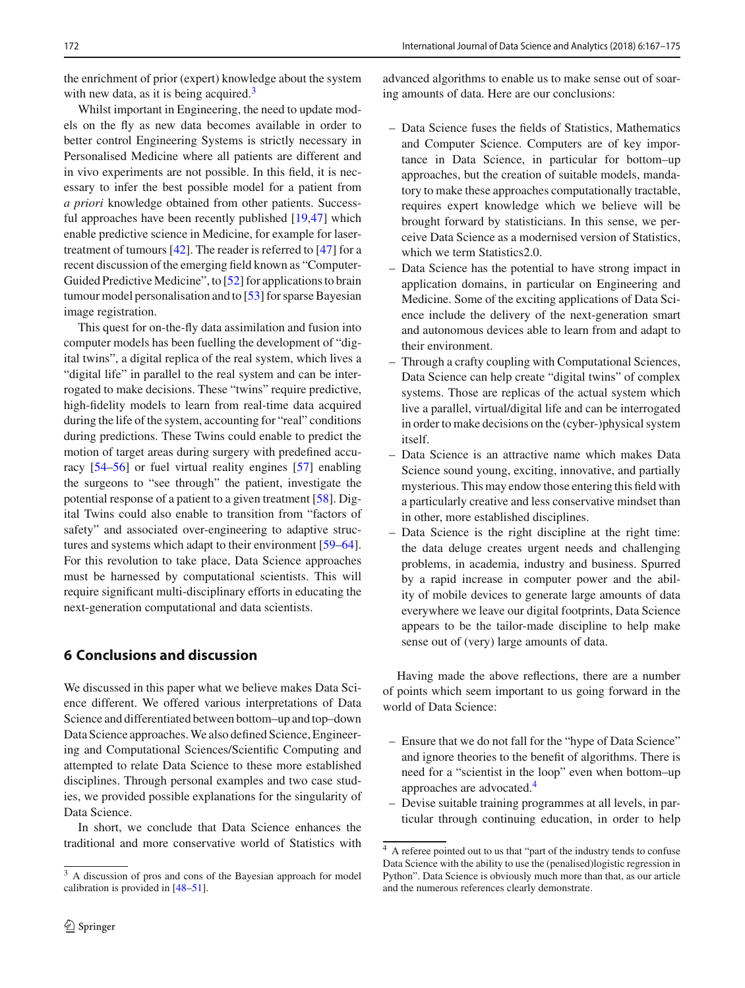the enrichment of prior (expert) knowledge about the system with new data, as it is being acquired. $3$ 

Whilst important in Engineering, the need to update models on the fly as new data becomes available in order to better control Engineering Systems is strictly necessary in Personalised Medicine where all patients are different and in vivo experiments are not possible. In this field, it is necessary to infer the best possible model for a patient from *a priori* knowledge obtained from other patients. Successful approaches have been recently published [\[19](#page-6-16)[,47\]](#page-7-12) which enable predictive science in Medicine, for example for lasertreatment of tumours  $[42]$ . The reader is referred to  $[47]$  for a recent discussion of the emerging field known as "Computer-Guided Predictive Medicine", to [\[52\]](#page-7-13) for applications to brain tumour model personalisation and to [\[53](#page-7-14)] for sparse Bayesian image registration.

This quest for on-the-fly data assimilation and fusion into computer models has been fuelling the development of "digital twins", a digital replica of the real system, which lives a "digital life" in parallel to the real system and can be interrogated to make decisions. These "twins" require predictive, high-fidelity models to learn from real-time data acquired during the life of the system, accounting for "real" conditions during predictions. These Twins could enable to predict the motion of target areas during surgery with predefined accuracy [\[54](#page-7-15)[–56](#page-7-16)] or fuel virtual reality engines [\[57](#page-7-17)] enabling the surgeons to "see through" the patient, investigate the potential response of a patient to a given treatment [\[58](#page-7-18)]. Digital Twins could also enable to transition from "factors of safety" and associated over-engineering to adaptive structures and systems which adapt to their environment [\[59](#page-7-19)[–64](#page-8-0)]. For this revolution to take place, Data Science approaches must be harnessed by computational scientists. This will require significant multi-disciplinary efforts in educating the next-generation computational and data scientists.

## **6 Conclusions and discussion**

We discussed in this paper what we believe makes Data Science different. We offered various interpretations of Data Science and differentiated between bottom–up and top–down Data Science approaches.We also defined Science, Engineering and Computational Sciences/Scientific Computing and attempted to relate Data Science to these more established disciplines. Through personal examples and two case studies, we provided possible explanations for the singularity of Data Science.

In short, we conclude that Data Science enhances the traditional and more conservative world of Statistics with

advanced algorithms to enable us to make sense out of soaring amounts of data. Here are our conclusions:

- Data Science fuses the fields of Statistics, Mathematics and Computer Science. Computers are of key importance in Data Science, in particular for bottom–up approaches, but the creation of suitable models, mandatory to make these approaches computationally tractable, requires expert knowledge which we believe will be brought forward by statisticians. In this sense, we perceive Data Science as a modernised version of Statistics, which we term Statistics 2.0.
- Data Science has the potential to have strong impact in application domains, in particular on Engineering and Medicine. Some of the exciting applications of Data Science include the delivery of the next-generation smart and autonomous devices able to learn from and adapt to their environment.
- Through a crafty coupling with Computational Sciences, Data Science can help create "digital twins" of complex systems. Those are replicas of the actual system which live a parallel, virtual/digital life and can be interrogated in order to make decisions on the (cyber-)physical system itself.
- Data Science is an attractive name which makes Data Science sound young, exciting, innovative, and partially mysterious. This may endow those entering this field with a particularly creative and less conservative mindset than in other, more established disciplines.
- Data Science is the right discipline at the right time: the data deluge creates urgent needs and challenging problems, in academia, industry and business. Spurred by a rapid increase in computer power and the ability of mobile devices to generate large amounts of data everywhere we leave our digital footprints, Data Science appears to be the tailor-made discipline to help make sense out of (very) large amounts of data.

Having made the above reflections, there are a number of points which seem important to us going forward in the world of Data Science:

- Ensure that we do not fall for the "hype of Data Science" and ignore theories to the benefit of algorithms. There is need for a "scientist in the loop" even when bottom–up approaches are advocated[.4](#page-5-1)
- Devise suitable training programmes at all levels, in particular through continuing education, in order to help

<span id="page-5-0"></span><sup>3</sup> A discussion of pros and cons of the Bayesian approach for model calibration is provided in [\[48](#page-7-20)[–51\]](#page-7-21).

<span id="page-5-1"></span><sup>4</sup> A referee pointed out to us that "part of the industry tends to confuse Data Science with the ability to use the (penalised)logistic regression in Python". Data Science is obviously much more than that, as our article and the numerous references clearly demonstrate.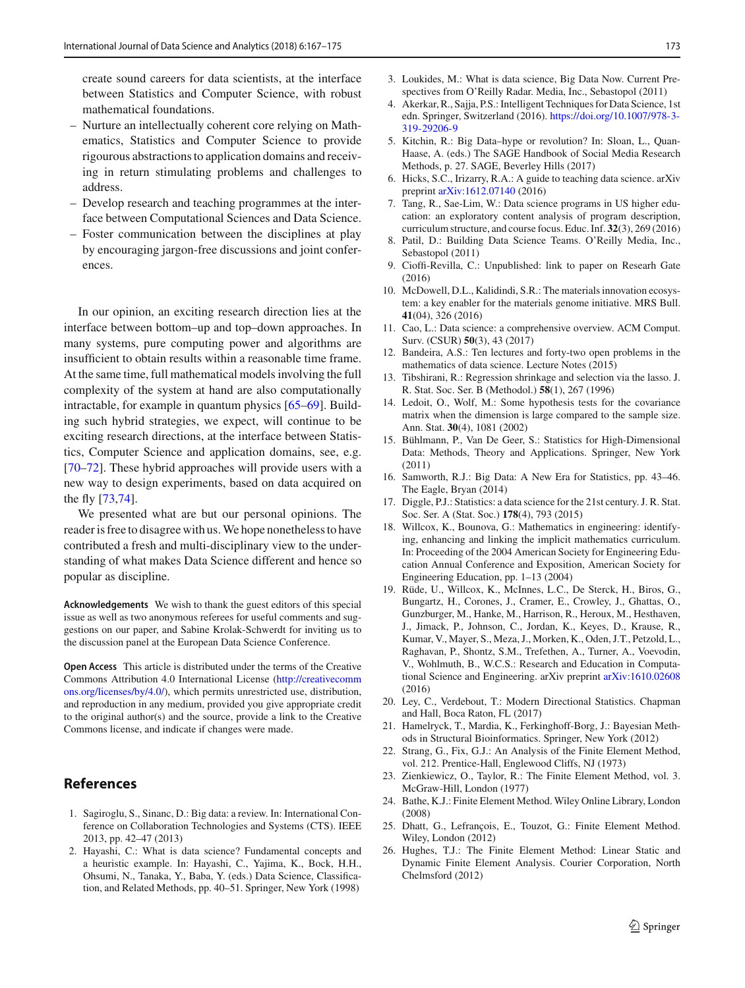create sound careers for data scientists, at the interface between Statistics and Computer Science, with robust mathematical foundations.

- Nurture an intellectually coherent core relying on Mathematics, Statistics and Computer Science to provide rigourous abstractions to application domains and receiving in return stimulating problems and challenges to address.
- Develop research and teaching programmes at the interface between Computational Sciences and Data Science.
- Foster communication between the disciplines at play by encouraging jargon-free discussions and joint conferences.

In our opinion, an exciting research direction lies at the interface between bottom–up and top–down approaches. In many systems, pure computing power and algorithms are insufficient to obtain results within a reasonable time frame. At the same time, full mathematical models involving the full complexity of the system at hand are also computationally intractable, for example in quantum physics [\[65](#page-8-1)[–69\]](#page-8-2). Building such hybrid strategies, we expect, will continue to be exciting research directions, at the interface between Statistics, Computer Science and application domains, see, e.g. [\[70](#page-8-3)[–72](#page-8-4)]. These hybrid approaches will provide users with a new way to design experiments, based on data acquired on the fly [\[73](#page-8-5)[,74](#page-8-6)].

We presented what are but our personal opinions. The reader is free to disagree with us.We hope nonetheless to have contributed a fresh and multi-disciplinary view to the understanding of what makes Data Science different and hence so popular as discipline.

**Acknowledgements** We wish to thank the guest editors of this special issue as well as two anonymous referees for useful comments and suggestions on our paper, and Sabine Krolak-Schwerdt for inviting us to the discussion panel at the European Data Science Conference.

**Open Access** This article is distributed under the terms of the Creative Commons Attribution 4.0 International License [\(http://creativecomm](http://creativecommons.org/licenses/by/4.0/) [ons.org/licenses/by/4.0/\)](http://creativecommons.org/licenses/by/4.0/), which permits unrestricted use, distribution, and reproduction in any medium, provided you give appropriate credit to the original author(s) and the source, provide a link to the Creative Commons license, and indicate if changes were made.

## **References**

- <span id="page-6-0"></span>1. Sagiroglu, S., Sinanc, D.: Big data: a review. In: International Conference on Collaboration Technologies and Systems (CTS). IEEE 2013, pp. 42–47 (2013)
- <span id="page-6-1"></span>2. Hayashi, C.: What is data science? Fundamental concepts and a heuristic example. In: Hayashi, C., Yajima, K., Bock, H.H., Ohsumi, N., Tanaka, Y., Baba, Y. (eds.) Data Science, Classification, and Related Methods, pp. 40–51. Springer, New York (1998)
- 3. Loukides, M.: What is data science, Big Data Now. Current Prespectives from O'Reilly Radar. Media, Inc., Sebastopol (2011)
- 4. Akerkar, R., Sajja, P.S.: Intelligent Techniques for Data Science, 1st edn. Springer, Switzerland (2016). [https://doi.org/10.1007/978-3-](https://doi.org/10.1007/978-3-319-29206-9) [319-29206-9](https://doi.org/10.1007/978-3-319-29206-9)
- <span id="page-6-2"></span>5. Kitchin, R.: Big Data–hype or revolution? In: Sloan, L., Quan-Haase, A. (eds.) The SAGE Handbook of Social Media Research Methods, p. 27. SAGE, Beverley Hills (2017)
- <span id="page-6-3"></span>6. Hicks, S.C., Irizarry, R.A.: A guide to teaching data science. arXiv preprint [arXiv:1612.07140](http://arxiv.org/abs/1612.07140) (2016)
- <span id="page-6-4"></span>7. Tang, R., Sae-Lim, W.: Data science programs in US higher education: an exploratory content analysis of program description, curriculum structure, and course focus. Educ. Inf. **32**(3), 269 (2016)
- <span id="page-6-5"></span>8. Patil, D.: Building Data Science Teams. O'Reilly Media, Inc., Sebastopol (2011)
- <span id="page-6-6"></span>9. Cioffi-Revilla, C.: Unpublished: link to paper on Researh Gate (2016)
- <span id="page-6-7"></span>10. McDowell, D.L., Kalidindi, S.R.: The materials innovation ecosystem: a key enabler for the materials genome initiative. MRS Bull. **41**(04), 326 (2016)
- <span id="page-6-8"></span>11. Cao, L.: Data science: a comprehensive overview. ACM Comput. Surv. (CSUR) **50**(3), 43 (2017)
- <span id="page-6-9"></span>12. Bandeira, A.S.: Ten lectures and forty-two open problems in the mathematics of data science. Lecture Notes (2015)
- <span id="page-6-10"></span>13. Tibshirani, R.: Regression shrinkage and selection via the lasso. J. R. Stat. Soc. Ser. B (Methodol.) **58**(1), 267 (1996)
- <span id="page-6-11"></span>14. Ledoit, O., Wolf, M.: Some hypothesis tests for the covariance matrix when the dimension is large compared to the sample size. Ann. Stat. **30**(4), 1081 (2002)
- <span id="page-6-12"></span>15. Bühlmann, P., Van De Geer, S.: Statistics for High-Dimensional Data: Methods, Theory and Applications. Springer, New York (2011)
- <span id="page-6-13"></span>16. Samworth, R.J.: Big Data: A New Era for Statistics, pp. 43–46. The Eagle, Bryan (2014)
- <span id="page-6-14"></span>17. Diggle, P.J.: Statistics: a data science for the 21st century. J. R. Stat. Soc. Ser. A (Stat. Soc.) **178**(4), 793 (2015)
- <span id="page-6-15"></span>18. Willcox, K., Bounova, G.: Mathematics in engineering: identifying, enhancing and linking the implicit mathematics curriculum. In: Proceeding of the 2004 American Society for Engineering Education Annual Conference and Exposition, American Society for Engineering Education, pp. 1–13 (2004)
- <span id="page-6-16"></span>19. Rüde, U., Willcox, K., McInnes, L.C., De Sterck, H., Biros, G., Bungartz, H., Corones, J., Cramer, E., Crowley, J., Ghattas, O., Gunzburger, M., Hanke, M., Harrison, R., Heroux, M., Hesthaven, J., Jimack, P., Johnson, C., Jordan, K., Keyes, D., Krause, R., Kumar, V., Mayer, S., Meza, J., Morken, K., Oden, J.T., Petzold, L., Raghavan, P., Shontz, S.M., Trefethen, A., Turner, A., Voevodin, V., Wohlmuth, B., W.C.S.: Research and Education in Computational Science and Engineering. arXiv preprint [arXiv:1610.02608](http://arxiv.org/abs/1610.02608) (2016)
- <span id="page-6-17"></span>20. Ley, C., Verdebout, T.: Modern Directional Statistics. Chapman and Hall, Boca Raton, FL (2017)
- <span id="page-6-18"></span>21. Hamelryck, T., Mardia, K., Ferkinghoff-Borg, J.: Bayesian Methods in Structural Bioinformatics. Springer, New York (2012)
- <span id="page-6-19"></span>22. Strang, G., Fix, G.J.: An Analysis of the Finite Element Method, vol. 212. Prentice-Hall, Englewood Cliffs, NJ (1973)
- 23. Zienkiewicz, O., Taylor, R.: The Finite Element Method, vol. 3. McGraw-Hill, London (1977)
- 24. Bathe, K.J.: Finite Element Method. Wiley Online Library, London (2008)
- 25. Dhatt, G., Lefrançois, E., Touzot, G.: Finite Element Method. Wiley, London (2012)
- <span id="page-6-20"></span>26. Hughes, T.J.: The Finite Element Method: Linear Static and Dynamic Finite Element Analysis. Courier Corporation, North Chelmsford (2012)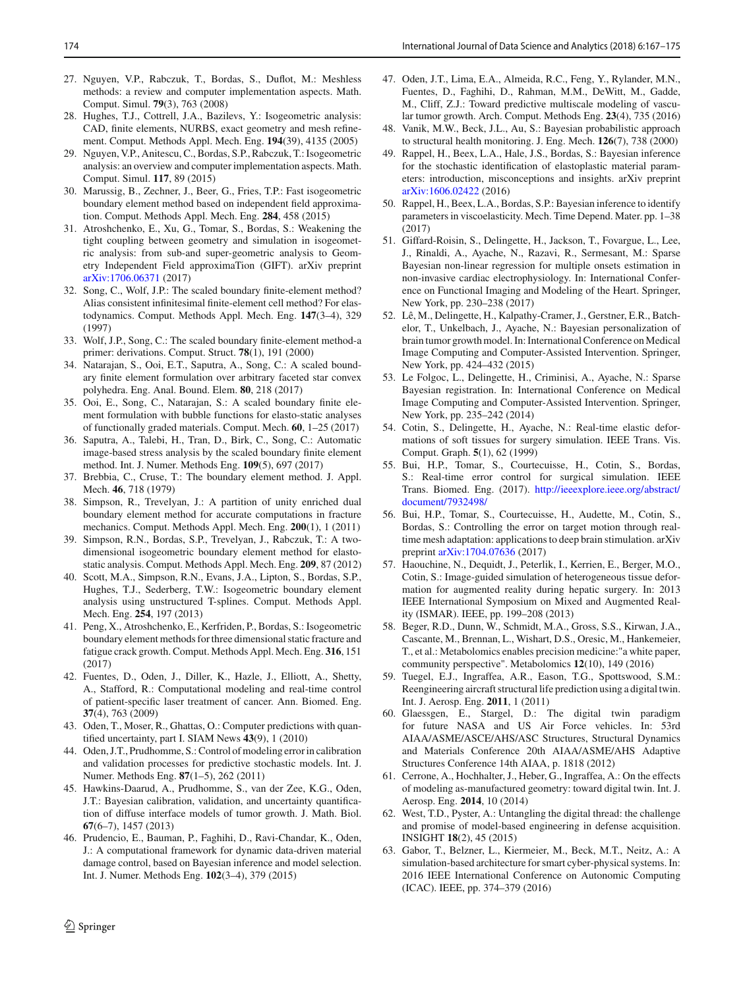- <span id="page-7-0"></span>27. Nguyen, V.P., Rabczuk, T., Bordas, S., Duflot, M.: Meshless methods: a review and computer implementation aspects. Math. Comput. Simul. **79**(3), 763 (2008)
- <span id="page-7-1"></span>28. Hughes, T.J., Cottrell, J.A., Bazilevs, Y.: Isogeometric analysis: CAD, finite elements, NURBS, exact geometry and mesh refinement. Comput. Methods Appl. Mech. Eng. **194**(39), 4135 (2005)
- <span id="page-7-2"></span>29. Nguyen, V.P., Anitescu, C., Bordas, S.P., Rabczuk, T.: Isogeometric analysis: an overview and computer implementation aspects. Math. Comput. Simul. **117**, 89 (2015)
- <span id="page-7-3"></span>30. Marussig, B., Zechner, J., Beer, G., Fries, T.P.: Fast isogeometric boundary element method based on independent field approximation. Comput. Methods Appl. Mech. Eng. **284**, 458 (2015)
- <span id="page-7-4"></span>31. Atroshchenko, E., Xu, G., Tomar, S., Bordas, S.: Weakening the tight coupling between geometry and simulation in isogeometric analysis: from sub-and super-geometric analysis to Geometry Independent Field approximaTion (GIFT). arXiv preprint [arXiv:1706.06371](http://arxiv.org/abs/1706.06371) (2017)
- <span id="page-7-5"></span>32. Song, C., Wolf, J.P.: The scaled boundary finite-element method? Alias consistent infinitesimal finite-element cell method? For elastodynamics. Comput. Methods Appl. Mech. Eng. **147**(3–4), 329 (1997)
- 33. Wolf, J.P., Song, C.: The scaled boundary finite-element method-a primer: derivations. Comput. Struct. **78**(1), 191 (2000)
- 34. Natarajan, S., Ooi, E.T., Saputra, A., Song, C.: A scaled boundary finite element formulation over arbitrary faceted star convex polyhedra. Eng. Anal. Bound. Elem. **80**, 218 (2017)
- 35. Ooi, E., Song, C., Natarajan, S.: A scaled boundary finite element formulation with bubble functions for elasto-static analyses of functionally graded materials. Comput. Mech. **60**, 1–25 (2017)
- <span id="page-7-6"></span>36. Saputra, A., Talebi, H., Tran, D., Birk, C., Song, C.: Automatic image-based stress analysis by the scaled boundary finite element method. Int. J. Numer. Methods Eng. **109**(5), 697 (2017)
- <span id="page-7-7"></span>37. Brebbia, C., Cruse, T.: The boundary element method. J. Appl. Mech. **46**, 718 (1979)
- <span id="page-7-8"></span>38. Simpson, R., Trevelyan, J.: A partition of unity enriched dual boundary element method for accurate computations in fracture mechanics. Comput. Methods Appl. Mech. Eng. **200**(1), 1 (2011)
- <span id="page-7-9"></span>39. Simpson, R.N., Bordas, S.P., Trevelyan, J., Rabczuk, T.: A twodimensional isogeometric boundary element method for elastostatic analysis. Comput. Methods Appl. Mech. Eng. **209**, 87 (2012)
- 40. Scott, M.A., Simpson, R.N., Evans, J.A., Lipton, S., Bordas, S.P., Hughes, T.J., Sederberg, T.W.: Isogeometric boundary element analysis using unstructured T-splines. Comput. Methods Appl. Mech. Eng. **254**, 197 (2013)
- <span id="page-7-10"></span>41. Peng, X., Atroshchenko, E., Kerfriden, P., Bordas, S.: Isogeometric boundary element methods for three dimensional static fracture and fatigue crack growth. Comput. Methods Appl. Mech. Eng. **316**, 151 (2017)
- <span id="page-7-11"></span>42. Fuentes, D., Oden, J., Diller, K., Hazle, J., Elliott, A., Shetty, A., Stafford, R.: Computational modeling and real-time control of patient-specific laser treatment of cancer. Ann. Biomed. Eng. **37**(4), 763 (2009)
- 43. Oden, T., Moser, R., Ghattas, O.: Computer predictions with quantified uncertainty, part I. SIAM News **43**(9), 1 (2010)
- 44. Oden, J.T., Prudhomme, S.: Control of modeling error in calibration and validation processes for predictive stochastic models. Int. J. Numer. Methods Eng. **87**(1–5), 262 (2011)
- 45. Hawkins-Daarud, A., Prudhomme, S., van der Zee, K.G., Oden, J.T.: Bayesian calibration, validation, and uncertainty quantification of diffuse interface models of tumor growth. J. Math. Biol. **67**(6–7), 1457 (2013)
- 46. Prudencio, E., Bauman, P., Faghihi, D., Ravi-Chandar, K., Oden, J.: A computational framework for dynamic data-driven material damage control, based on Bayesian inference and model selection. Int. J. Numer. Methods Eng. **102**(3–4), 379 (2015)
- <span id="page-7-12"></span>47. Oden, J.T., Lima, E.A., Almeida, R.C., Feng, Y., Rylander, M.N., Fuentes, D., Faghihi, D., Rahman, M.M., DeWitt, M., Gadde, M., Cliff, Z.J.: Toward predictive multiscale modeling of vascular tumor growth. Arch. Comput. Methods Eng. **23**(4), 735 (2016)
- <span id="page-7-20"></span>48. Vanik, M.W., Beck, J.L., Au, S.: Bayesian probabilistic approach to structural health monitoring. J. Eng. Mech. **126**(7), 738 (2000)
- 49. Rappel, H., Beex, L.A., Hale, J.S., Bordas, S.: Bayesian inference for the stochastic identification of elastoplastic material parameters: introduction, misconceptions and insights. arXiv preprint [arXiv:1606.02422](http://arxiv.org/abs/1606.02422) (2016)
- 50. Rappel, H., Beex, L.A., Bordas, S.P.: Bayesian inference to identify parameters in viscoelasticity. Mech. Time Depend. Mater. pp. 1–38 (2017)
- <span id="page-7-21"></span>51. Giffard-Roisin, S., Delingette, H., Jackson, T., Fovargue, L., Lee, J., Rinaldi, A., Ayache, N., Razavi, R., Sermesant, M.: Sparse Bayesian non-linear regression for multiple onsets estimation in non-invasive cardiac electrophysiology. In: International Conference on Functional Imaging and Modeling of the Heart. Springer, New York, pp. 230–238 (2017)
- <span id="page-7-13"></span>52. Lê, M., Delingette, H., Kalpathy-Cramer, J., Gerstner, E.R., Batchelor, T., Unkelbach, J., Ayache, N.: Bayesian personalization of brain tumor growth model. In: International Conference on Medical Image Computing and Computer-Assisted Intervention. Springer, New York, pp. 424–432 (2015)
- <span id="page-7-14"></span>53. Le Folgoc, L., Delingette, H., Criminisi, A., Ayache, N.: Sparse Bayesian registration. In: International Conference on Medical Image Computing and Computer-Assisted Intervention. Springer, New York, pp. 235–242 (2014)
- <span id="page-7-15"></span>54. Cotin, S., Delingette, H., Ayache, N.: Real-time elastic deformations of soft tissues for surgery simulation. IEEE Trans. Vis. Comput. Graph. **5**(1), 62 (1999)
- 55. Bui, H.P., Tomar, S., Courtecuisse, H., Cotin, S., Bordas, S.: Real-time error control for surgical simulation. IEEE Trans. Biomed. Eng. (2017). [http://ieeexplore.ieee.org/abstract/](http://ieeexplore.ieee.org/abstract/document/7932498/) [document/7932498/](http://ieeexplore.ieee.org/abstract/document/7932498/)
- <span id="page-7-16"></span>56. Bui, H.P., Tomar, S., Courtecuisse, H., Audette, M., Cotin, S., Bordas, S.: Controlling the error on target motion through realtime mesh adaptation: applications to deep brain stimulation. arXiv preprint [arXiv:1704.07636](http://arxiv.org/abs/1704.07636) (2017)
- <span id="page-7-17"></span>57. Haouchine, N., Dequidt, J., Peterlik, I., Kerrien, E., Berger, M.O., Cotin, S.: Image-guided simulation of heterogeneous tissue deformation for augmented reality during hepatic surgery. In: 2013 IEEE International Symposium on Mixed and Augmented Reality (ISMAR). IEEE, pp. 199–208 (2013)
- <span id="page-7-18"></span>58. Beger, R.D., Dunn, W., Schmidt, M.A., Gross, S.S., Kirwan, J.A., Cascante, M., Brennan, L., Wishart, D.S., Oresic, M., Hankemeier, T., et al.: Metabolomics enables precision medicine:"a white paper, community perspective". Metabolomics **12**(10), 149 (2016)
- <span id="page-7-19"></span>59. Tuegel, E.J., Ingraffea, A.R., Eason, T.G., Spottswood, S.M.: Reengineering aircraft structural life prediction using a digital twin. Int. J. Aerosp. Eng. **2011**, 1 (2011)
- 60. Glaessgen, E., Stargel, D.: The digital twin paradigm for future NASA and US Air Force vehicles. In: 53rd AIAA/ASME/ASCE/AHS/ASC Structures, Structural Dynamics and Materials Conference 20th AIAA/ASME/AHS Adaptive Structures Conference 14th AIAA, p. 1818 (2012)
- 61. Cerrone, A., Hochhalter, J., Heber, G., Ingraffea, A.: On the effects of modeling as-manufactured geometry: toward digital twin. Int. J. Aerosp. Eng. **2014**, 10 (2014)
- 62. West, T.D., Pyster, A.: Untangling the digital thread: the challenge and promise of model-based engineering in defense acquisition. INSIGHT **18**(2), 45 (2015)
- 63. Gabor, T., Belzner, L., Kiermeier, M., Beck, M.T., Neitz, A.: A simulation-based architecture for smart cyber-physical systems. In: 2016 IEEE International Conference on Autonomic Computing (ICAC). IEEE, pp. 374–379 (2016)